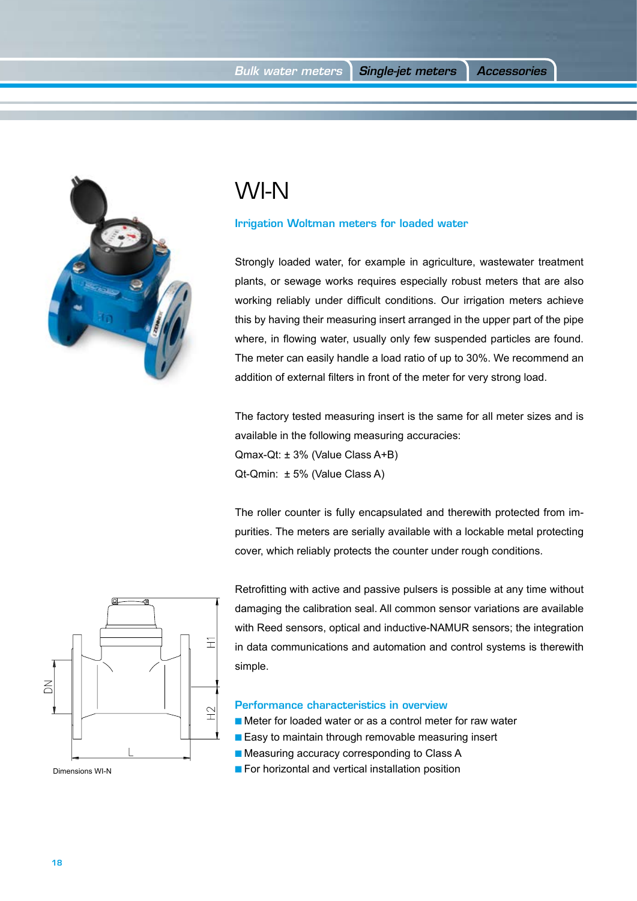

## WI-N

Irrigation Woltman meters for loaded water

Strongly loaded water, for example in agriculture, wastewater treatment plants, or sewage works requires especially robust meters that are also working reliably under difficult conditions. Our irrigation meters achieve this by having their measuring insert arranged in the upper part of the pipe where, in flowing water, usually only few suspended particles are found. The meter can easily handle a load ratio of up to 30%. We recommend an addition of external filters in front of the meter for very strong load.

The factory tested measuring insert is the same for all meter sizes and is available in the following measuring accuracies: Qmax-Qt: ± 3% (Value Class A+B) Qt-Qmin: ± 5% (Value Class A)

The roller counter is fully encapsulated and therewith protected from impurities. The meters are serially available with a lockable metal protecting cover, which reliably protects the counter under rough conditions.



Retrofitting with active and passive pulsers is possible at any time without damaging the calibration seal. All common sensor variations are available with Reed sensors, optical and inductive-NAMUR sensors; the integration in data communications and automation and control systems is therewith simple.

## Performance characteristics in overview

- Meter for loaded water or as a control meter for raw water
- Easy to maintain through removable measuring insert
- Measuring accuracy corresponding to Class A
- **For horizontal and vertical installation position**